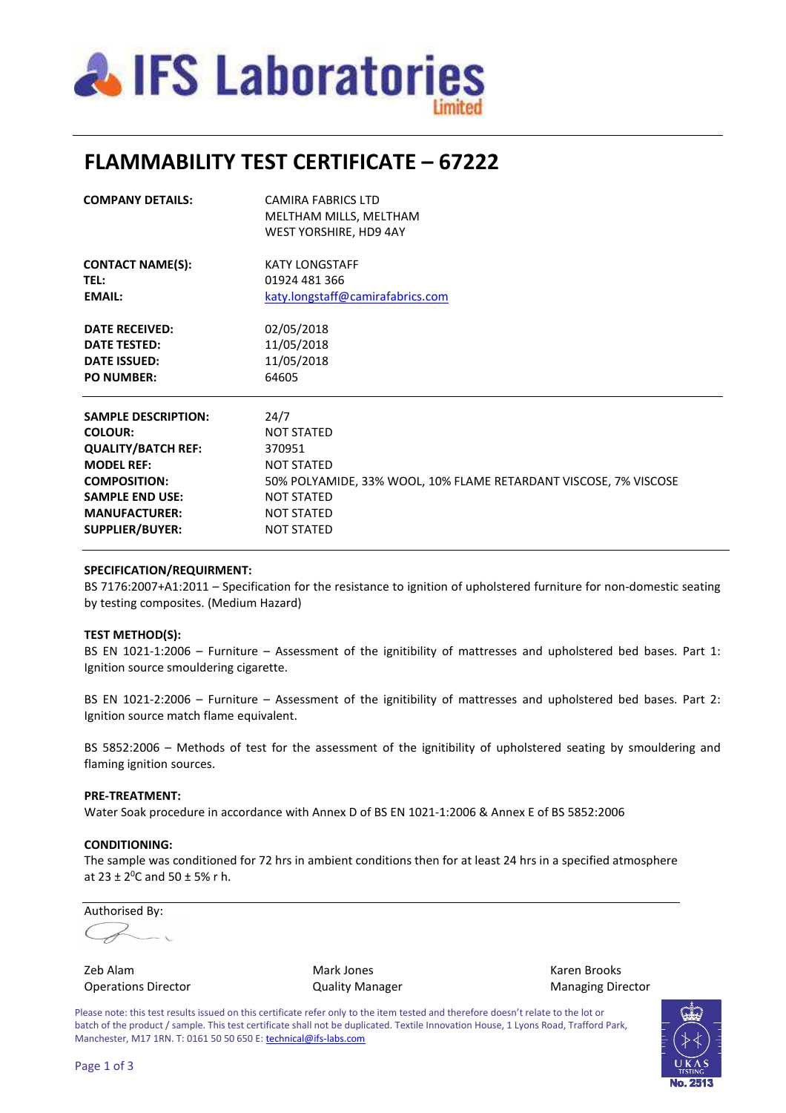

## **FLAMMABILITY TEST CERTIFICATE – 67222**

| <b>COMPANY DETAILS:</b>    | <b>CAMIRA FABRICS LTD</b><br>MELTHAM MILLS, MELTHAM<br>WEST YORSHIRE, HD9 4AY |
|----------------------------|-------------------------------------------------------------------------------|
| <b>CONTACT NAME(S):</b>    | <b>KATY LONGSTAFF</b>                                                         |
| <b>TEL:</b>                | 01924 481 366                                                                 |
| <b>EMAIL:</b>              | katy.longstaff@camirafabrics.com                                              |
| <b>DATE RECEIVED:</b>      | 02/05/2018                                                                    |
| <b>DATE TESTED:</b>        | 11/05/2018                                                                    |
| <b>DATE ISSUED:</b>        | 11/05/2018                                                                    |
| <b>PO NUMBER:</b>          | 64605                                                                         |
| <b>SAMPLE DESCRIPTION:</b> | 24/7                                                                          |
| <b>COLOUR:</b>             | <b>NOT STATED</b>                                                             |
| <b>QUALITY/BATCH REF:</b>  | 370951                                                                        |
| <b>MODEL REF:</b>          | <b>NOT STATED</b>                                                             |
| <b>COMPOSITION:</b>        | 50% POLYAMIDE, 33% WOOL, 10% FLAME RETARDANT VISCOSE, 7% VISCOSE              |
| <b>SAMPLE END USE:</b>     | <b>NOT STATED</b>                                                             |
| <b>MANUFACTURER:</b>       | <b>NOT STATED</b>                                                             |
| <b>SUPPLIER/BUYER:</b>     | <b>NOT STATED</b>                                                             |

### **SPECIFICATION/REQUIRMENT:**

BS 7176:2007+A1:2011 – Specification for the resistance to ignition of upholstered furniture for non-domestic seating by testing composites. (Medium Hazard)

#### **TEST METHOD(S):**

BS EN 1021-1:2006 – Furniture – Assessment of the ignitibility of mattresses and upholstered bed bases. Part 1: Ignition source smouldering cigarette.

BS EN 1021-2:2006 – Furniture – Assessment of the ignitibility of mattresses and upholstered bed bases. Part 2: Ignition source match flame equivalent.

BS 5852:2006 – Methods of test for the assessment of the ignitibility of upholstered seating by smouldering and flaming ignition sources.

#### **PRE-TREATMENT:**

Water Soak procedure in accordance with Annex D of BS EN 1021-1:2006 & Annex E of BS 5852:2006

#### **CONDITIONING:**

The sample was conditioned for 72 hrs in ambient conditions then for at least 24 hrs in a specified atmosphere at  $23 \pm 2^0$ C and  $50 \pm 5\%$  r h.

Authorised By:

Operations Director **Contains Contains Contains Contains Contains Contains Contains Contains Contains Contains Contains Contains Contains Contains Contains Contains Contains Contains Contains Contains Contains Contains Con** 

Zeb Alam Mark Jones Karen Brooks

Please note: this test results issued on this certificate refer only to the item tested and therefore doesn't relate to the lot or batch of the product / sample. This test certificate shall not be duplicated. Textile Innovation House, 1 Lyons Road, Trafford Park, Manchester, M17 1RN. T: 0161 50 50 650 E: technical@ifs-labs.com

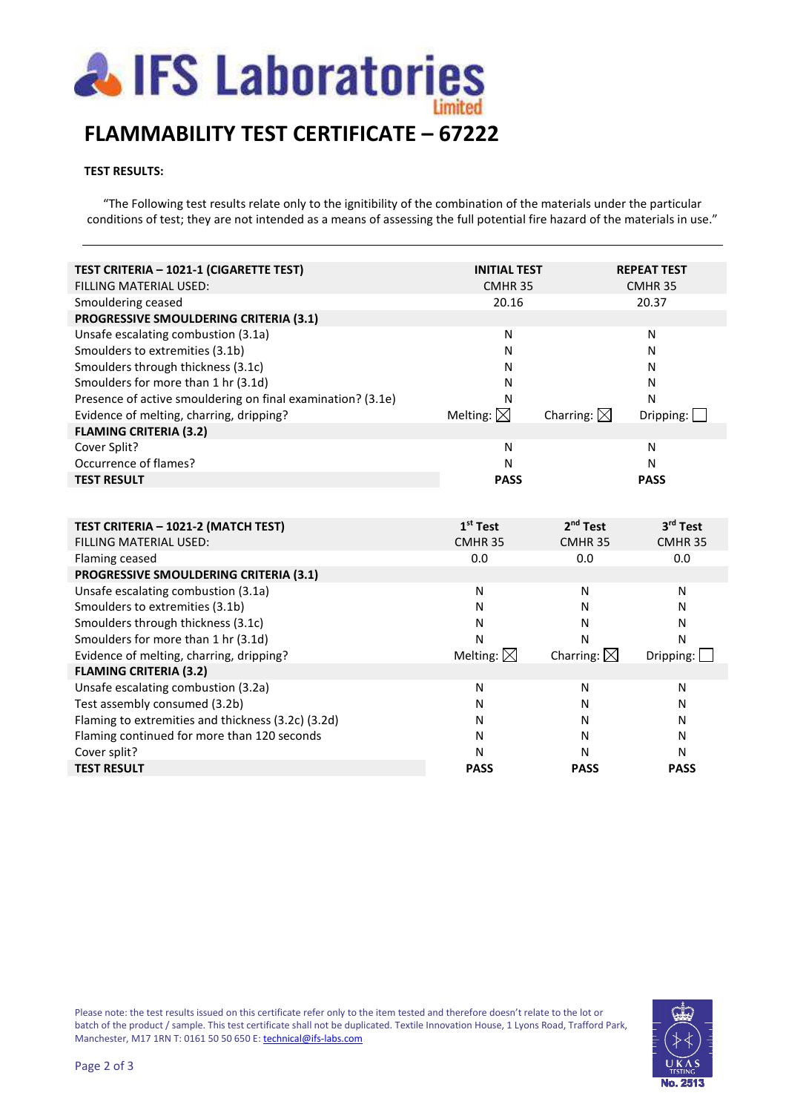

# **FLAMMABILITY TEST CERTIFICATE – 67222**

### **TEST RESULTS:**

"The Following test results relate only to the ignitibility of the combination of the materials under the particular conditions of test; they are not intended as a means of assessing the full potential fire hazard of the materials in use."

| TEST CRITERIA - 1021-1 (CIGARETTE TEST)                     | <b>INITIAL TEST</b>  |                       | <b>REPEAT TEST</b>              |
|-------------------------------------------------------------|----------------------|-----------------------|---------------------------------|
| FILLING MATERIAL USED:                                      | CMHR <sub>35</sub>   |                       | CMHR <sub>35</sub>              |
| Smouldering ceased                                          | 20.16                |                       | 20.37                           |
| PROGRESSIVE SMOULDERING CRITERIA (3.1)                      |                      |                       |                                 |
| Unsafe escalating combustion (3.1a)                         | N                    |                       | N                               |
| Smoulders to extremities (3.1b)                             | N                    |                       | N                               |
| Smoulders through thickness (3.1c)                          | N                    |                       | N                               |
| Smoulders for more than 1 hr (3.1d)                         | N                    |                       | N                               |
| Presence of active smouldering on final examination? (3.1e) | N                    |                       | N                               |
| Evidence of melting, charring, dripping?                    | Melting: $\boxtimes$ | Charring: $\boxtimes$ | Dripping: $\boxed{\phantom{a}}$ |
| <b>FLAMING CRITERIA (3.2)</b>                               |                      |                       |                                 |
| Cover Split?                                                | N                    |                       | N                               |
| Occurrence of flames?                                       | N                    |                       | N                               |
| <b>TEST RESULT</b>                                          | <b>PASS</b>          |                       | <b>PASS</b>                     |
|                                                             |                      |                       |                                 |
|                                                             |                      |                       |                                 |
| TEST CRITERIA - 1021-2 (MATCH TEST)                         | $1st$ Test           | 2 <sup>nd</sup> Test  | 3rd Test                        |
| FILLING MATERIAL USED:                                      | CMHR <sub>35</sub>   | CMHR <sub>35</sub>    | CMHR <sub>35</sub>              |
| Flaming ceased                                              | 0.0                  | 0.0                   | 0.0                             |
| PROGRESSIVE SMOULDERING CRITERIA (3.1)                      |                      |                       |                                 |
| Unsafe escalating combustion (3.1a)                         | N                    | N                     | N                               |
| Smoulders to extremities (3.1b)                             | N                    | N                     | N                               |
| Smoulders through thickness (3.1c)                          | N                    | N                     | N                               |
| Smoulders for more than 1 hr (3.1d)                         | N                    | N                     | N                               |
| Evidence of melting, charring, dripping?                    | Melting: $\boxtimes$ | Charring: $\boxtimes$ | Dripping: $\Box$                |
| <b>FLAMING CRITERIA (3.2)</b>                               |                      |                       |                                 |
| Unsafe escalating combustion (3.2a)                         | N                    | N                     | N                               |
| Test assembly consumed (3.2b)                               | N                    | N                     | N                               |
| Flaming to extremities and thickness (3.2c) (3.2d)          | N                    | N                     | N                               |
| Flaming continued for more than 120 seconds                 | N                    | N                     | N                               |
| Cover split?                                                | N                    | N                     | N                               |
| <b>TEST RESULT</b>                                          | <b>PASS</b>          | <b>PASS</b>           | <b>PASS</b>                     |

Please note: the test results issued on this certificate refer only to the item tested and therefore doesn't relate to the lot or batch of the product / sample. This test certificate shall not be duplicated. Textile Innovation House, 1 Lyons Road, Trafford Park, Manchester, M17 1RN T: 0161 50 50 650 E: technical@ifs-labs.com